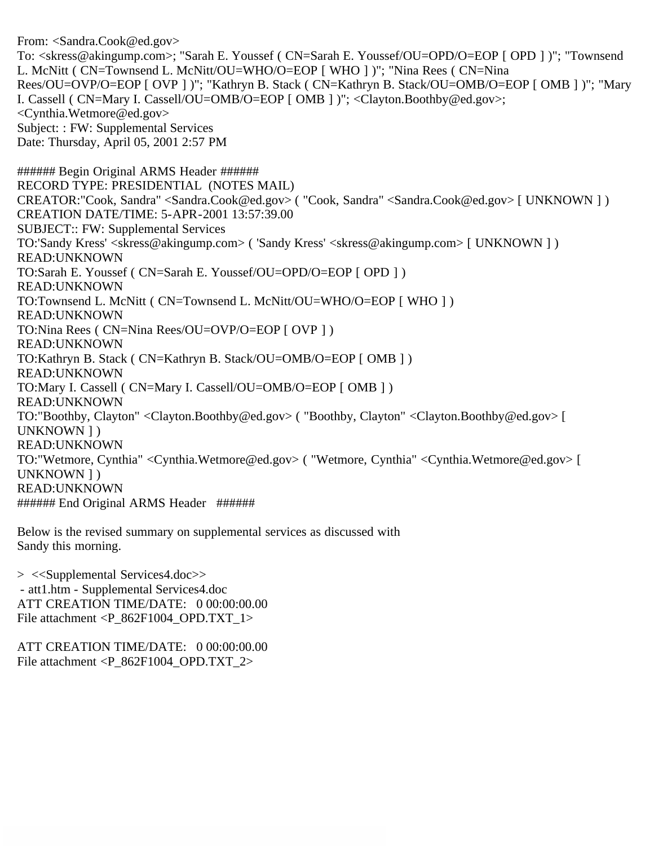From: <Sandra.Cook@ed.gov> To: <skress@akingump.com>; "Sarah E. Youssef ( CN=Sarah E. Youssef/OU=OPD/O=EOP [ OPD ] )"; "Townsend L. McNitt ( CN=Townsend L. McNitt/OU=WHO/O=EOP [ WHO ] )"; "Nina Rees ( CN=Nina Rees/OU=OVP/O=EOP [ OVP ] )"; "Kathryn B. Stack ( CN=Kathryn B. Stack/OU=OMB/O=EOP [ OMB ] )"; "Mary I. Cassell ( CN=Mary I. Cassell/OU=OMB/O=EOP [ OMB ] )"; <Clayton.Boothby@ed.gov>; <Cynthia.Wetmore@ed.gov> Subject: : FW: Supplemental Services Date: Thursday, April 05, 2001 2:57 PM ###### Begin Original ARMS Header ###### RECORD TYPE: PRESIDENTIAL (NOTES MAIL) CREATOR:"Cook, Sandra" <Sandra.Cook@ed.gov> ( "Cook, Sandra" <Sandra.Cook@ed.gov> [ UNKNOWN ] ) CREATION DATE/TIME: 5-APR-2001 13:57:39.00 SUBJECT:: FW: Supplemental Services TO:'Sandy Kress' <skress@akingump.com> ( 'Sandy Kress' <skress@akingump.com> [ UNKNOWN ] ) READ:UNKNOWN TO:Sarah E. Youssef ( CN=Sarah E. Youssef/OU=OPD/O=EOP [ OPD ] ) READ:UNKNOWN TO:Townsend L. McNitt ( CN=Townsend L. McNitt/OU=WHO/O=EOP [ WHO ] ) READ:UNKNOWN TO:Nina Rees ( CN=Nina Rees/OU=OVP/O=EOP [ OVP ] ) READ:UNKNOWN TO:Kathryn B. Stack ( CN=Kathryn B. Stack/OU=OMB/O=EOP [ OMB ] ) READ:UNKNOWN TO:Mary I. Cassell ( CN=Mary I. Cassell/OU=OMB/O=EOP [ OMB ] ) READ:UNKNOWN TO:"Boothby, Clayton" <Clayton.Boothby@ed.gov> ( "Boothby, Clayton" <Clayton.Boothby@ed.gov> [ UNKNOWN ] ) READ:UNKNOWN TO:"Wetmore, Cynthia" <Cynthia.Wetmore@ed.gov> ( "Wetmore, Cynthia" <Cynthia.Wetmore@ed.gov> [ UNKNOWN ] ) READ:UNKNOWN ###### End Original ARMS Header ######

Below is the revised summary on supplemental services as discussed with Sandy this morning.

> <<Supplemental Services4.doc>> - att1.htm - Supplemental Services4.doc ATT CREATION TIME/DATE: 0 00:00:00.00 File attachment <P\_862F1004\_OPD.TXT\_1>

ATT CREATION TIME/DATE: 0 00:00:00.00 File attachment  $\langle P_862F1004 \text{ OPD}.TXT_2\rangle$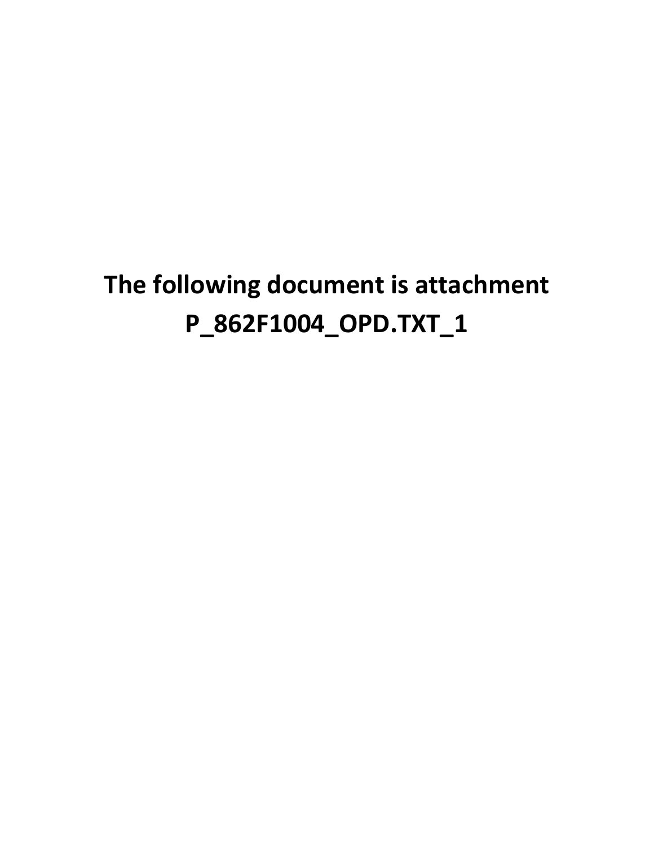# **The following document is attachment P\_862F1004\_OPD.TXT\_1**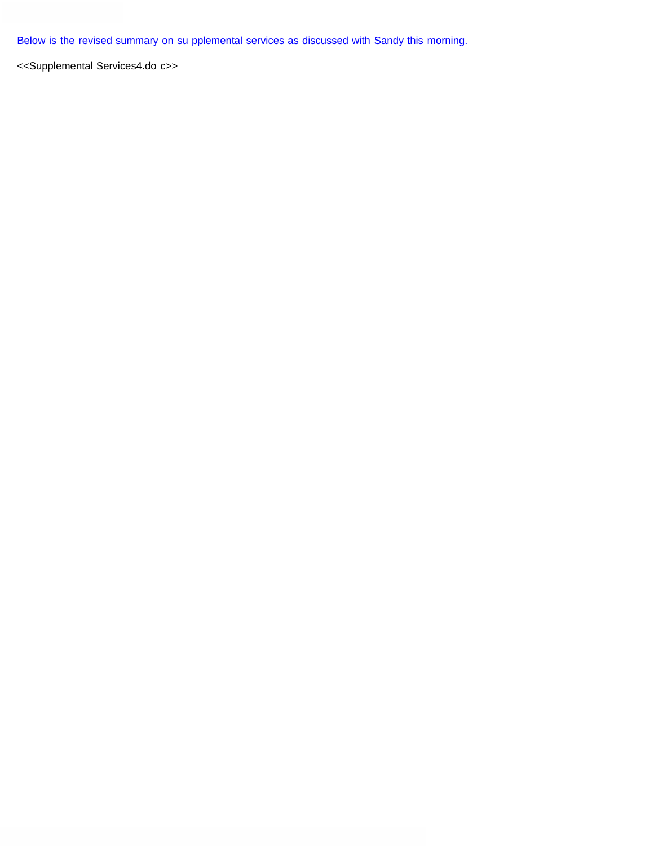Below is the revised summary on su pplemental services as discussed with Sandy this morning.

<<Supplemental Services4.do c>>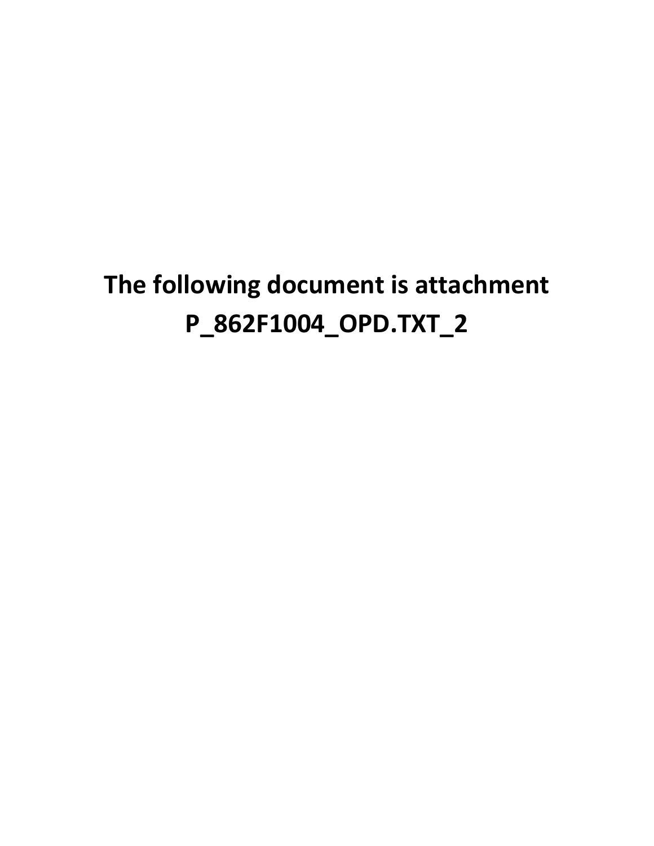# **The following document is attachment P\_862F1004\_OPD.TXT\_2**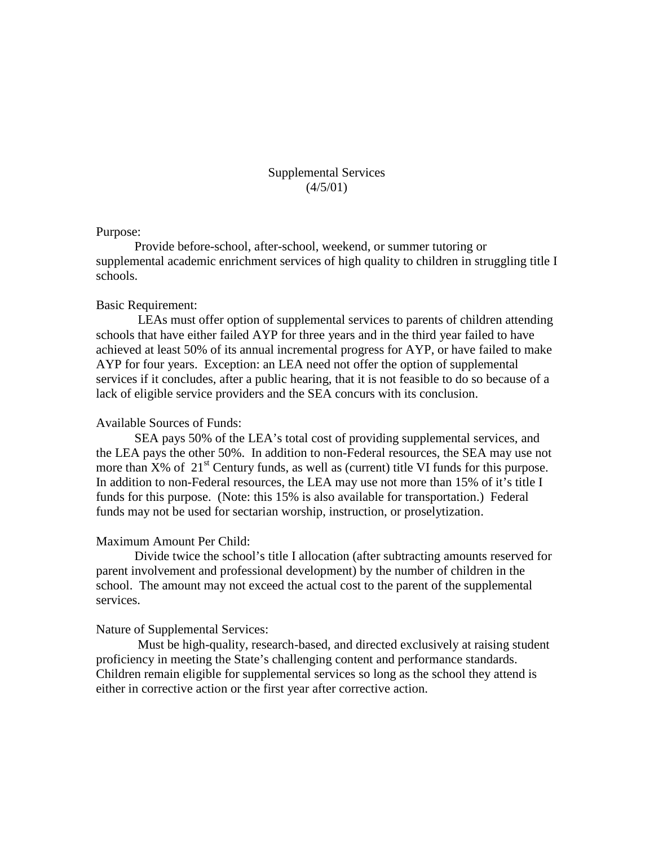# Supplemental Services  $(4/5/01)$

#### Purpose:

Provide before-school, after-school, weekend, or summer tutoring or supplemental academic enrichment services of high quality to children in struggling title I schools.

### Basic Requirement:

LEAs must offer option of supplemental services to parents of children attending schools that have either failed AYP for three years and in the third year failed to have achieved at least 50% of its annual incremental progress for AYP, or have failed to make AYP for four years. Exception: an LEA need not offer the option of supplemental services if it concludes, after a public hearing, that it is not feasible to do so because of a lack of eligible service providers and the SEA concurs with its conclusion.

## Available Sources of Funds:

SEA pays 50% of the LEA's total cost of providing supplemental services, and the LEA pays the other 50%. In addition to non-Federal resources, the SEA may use not more than  $X\%$  of  $21<sup>st</sup>$  Century funds, as well as (current) title VI funds for this purpose. In addition to non-Federal resources, the LEA may use not more than 15% of it's title I funds for this purpose. (Note: this 15% is also available for transportation.) Federal funds may not be used for sectarian worship, instruction, or proselytization.

#### Maximum Amount Per Child:

Divide twice the school's title I allocation (after subtracting amounts reserved for parent involvement and professional development) by the number of children in the school. The amount may not exceed the actual cost to the parent of the supplemental services.

#### Nature of Supplemental Services:

Must be high-quality, research-based, and directed exclusively at raising student proficiency in meeting the State's challenging content and performance standards. Children remain eligible for supplemental services so long as the school they attend is either in corrective action or the first year after corrective action.